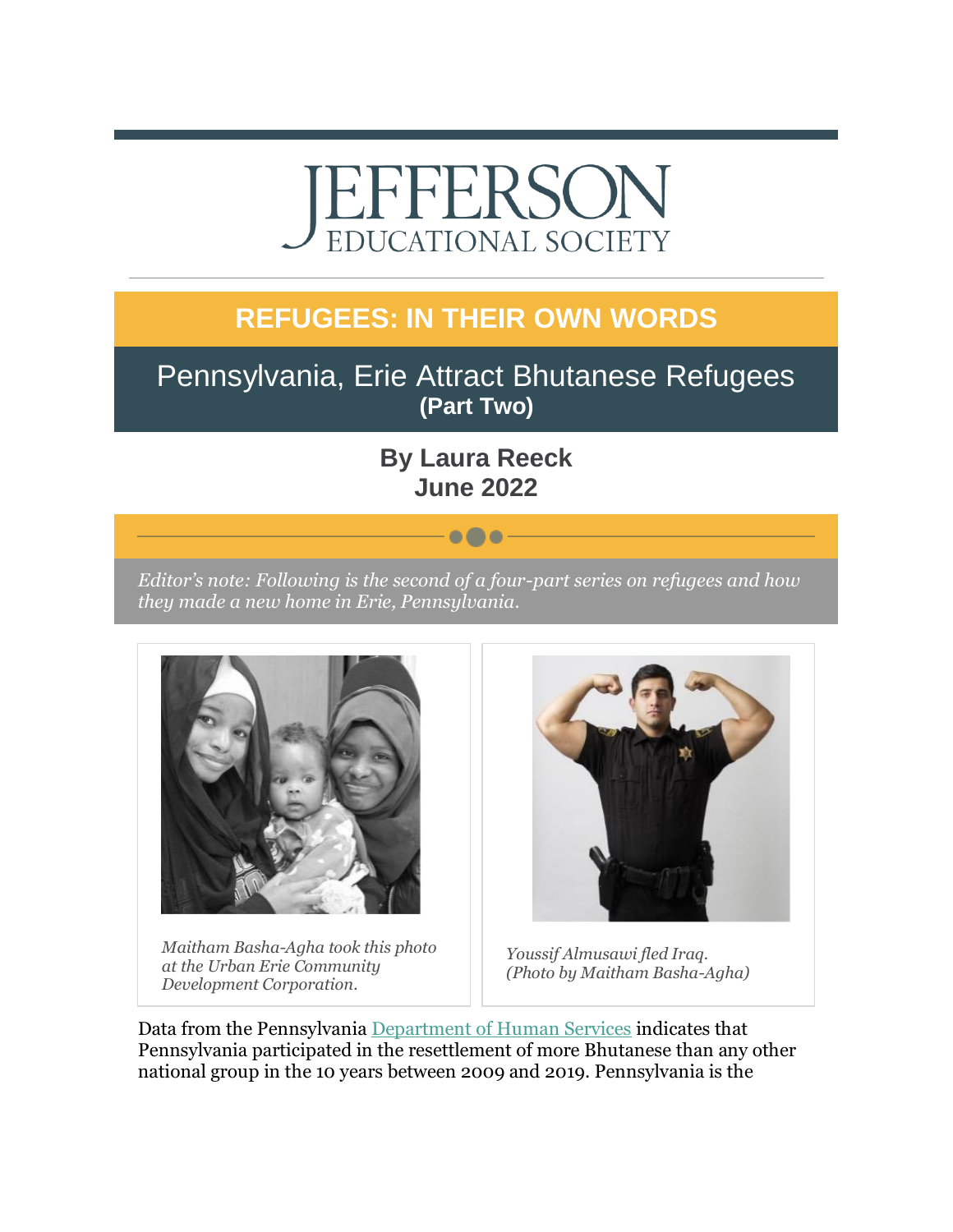# EFFERSO EDUCATIONAL SOCIETY

## **REFUGEES: IN THEIR OWN WORDS**

### Pennsylvania, Erie Attract Bhutanese Refugees **(Part Two)**

### **By Laura Reeck June 2022**

 $\bullet\bullet\bullet$ 

*Editor's note: Following is the second of a four-part series on refugees and how they made a new home in Erie, Pennsylvania.*



*Maitham Basha-Agha took this photo at the Urban Erie Community Development Corporation.*



*Youssif Almusawi fled Iraq. (Photo by Maitham Basha-Agha)*

Data from the Pennsylvania [Department of Human Services](https://r20.rs6.net/tn.jsp?f=001_5kvAhSppQTJX5eYPxPf61ENh0NZW14ulaT7xjO3FOwj_Ew5EHBOGCBci6K0NWdkDWFITBmgZ8jLnTDb7yZvPdUELnCSCjeBWPKVY2hXJ2-4RXe456qRuCXNKWcya7XPB3KwvymkCWSw3hB4gWNCidjAd69U0ghQfzJZqLO4KTpfQn7I8-9eEISLIxkRcyaH&c=9nbRf56lc1qB_NQJLd6GvSnfuM6XoH-tZml11wML8zJ_iGYF2kVJxw==&ch=NfpvpSK9kb7T8ffRDw7o_jSdiBC8wM8iGIPYiSoNQnqySwHcjNYfAQ==) indicates that Pennsylvania participated in the resettlement of more Bhutanese than any other national group in the 10 years between 2009 and 2019. Pennsylvania is the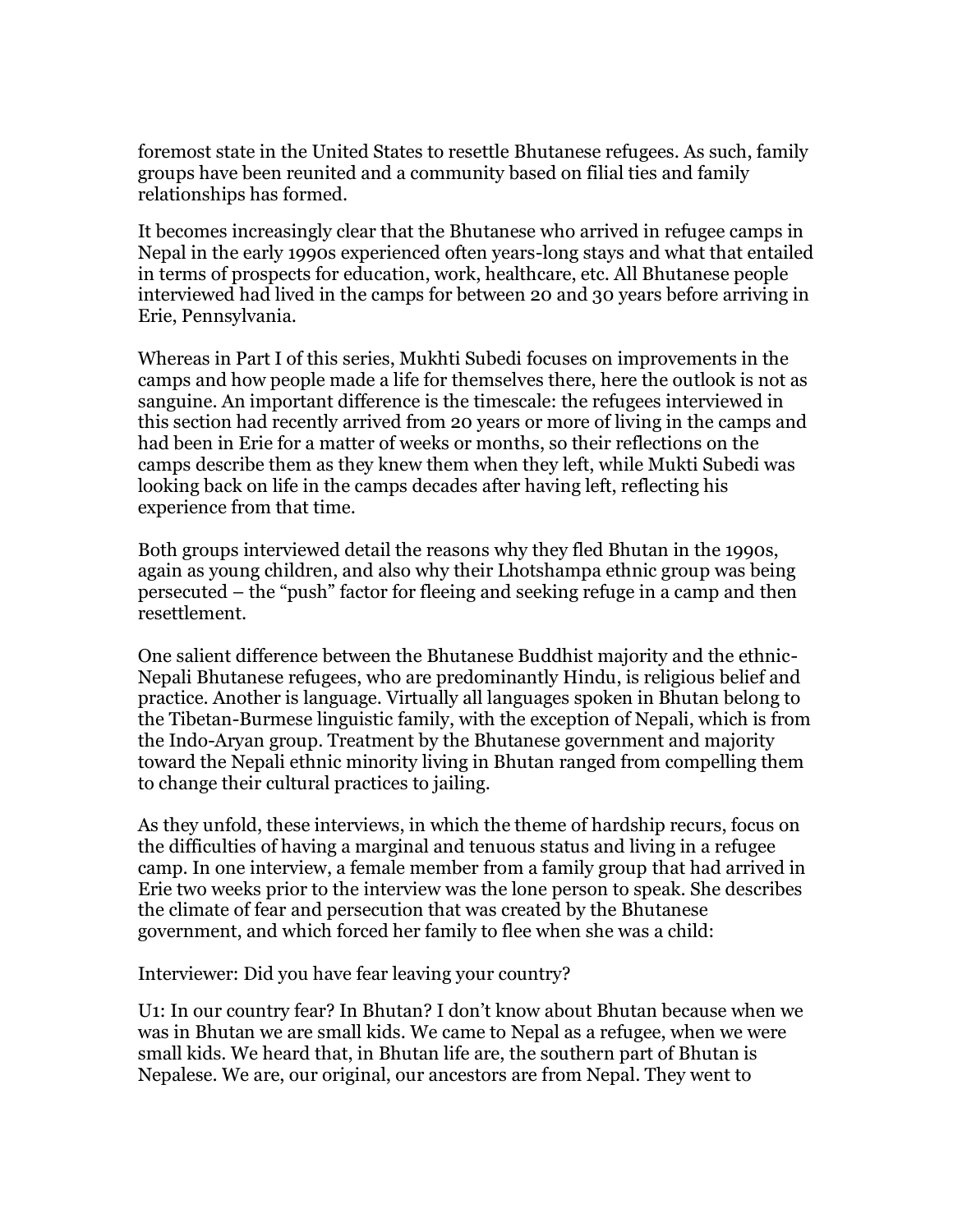foremost state in the United States to resettle Bhutanese refugees. As such, family groups have been reunited and a community based on filial ties and family relationships has formed.

It becomes increasingly clear that the Bhutanese who arrived in refugee camps in Nepal in the early 1990s experienced often years-long stays and what that entailed in terms of prospects for education, work, healthcare, etc. All Bhutanese people interviewed had lived in the camps for between 20 and 30 years before arriving in Erie, Pennsylvania.

Whereas in Part I of this series, Mukhti Subedi focuses on improvements in the camps and how people made a life for themselves there, here the outlook is not as sanguine. An important difference is the timescale: the refugees interviewed in this section had recently arrived from 20 years or more of living in the camps and had been in Erie for a matter of weeks or months, so their reflections on the camps describe them as they knew them when they left, while Mukti Subedi was looking back on life in the camps decades after having left, reflecting his experience from that time.

Both groups interviewed detail the reasons why they fled Bhutan in the 1990s, again as young children, and also why their Lhotshampa ethnic group was being persecuted – the "push" factor for fleeing and seeking refuge in a camp and then resettlement.

One salient difference between the Bhutanese Buddhist majority and the ethnic-Nepali Bhutanese refugees, who are predominantly Hindu, is religious belief and practice. Another is language. Virtually all languages spoken in Bhutan belong to the Tibetan-Burmese linguistic family, with the exception of Nepali, which is from the Indo-Aryan group. Treatment by the Bhutanese government and majority toward the Nepali ethnic minority living in Bhutan ranged from compelling them to change their cultural practices to jailing.

As they unfold, these interviews, in which the theme of hardship recurs, focus on the difficulties of having a marginal and tenuous status and living in a refugee camp. In one interview, a female member from a family group that had arrived in Erie two weeks prior to the interview was the lone person to speak. She describes the climate of fear and persecution that was created by the Bhutanese government, and which forced her family to flee when she was a child:

Interviewer: Did you have fear leaving your country?

U1: In our country fear? In Bhutan? I don't know about Bhutan because when we was in Bhutan we are small kids. We came to Nepal as a refugee, when we were small kids. We heard that, in Bhutan life are, the southern part of Bhutan is Nepalese. We are, our original, our ancestors are from Nepal. They went to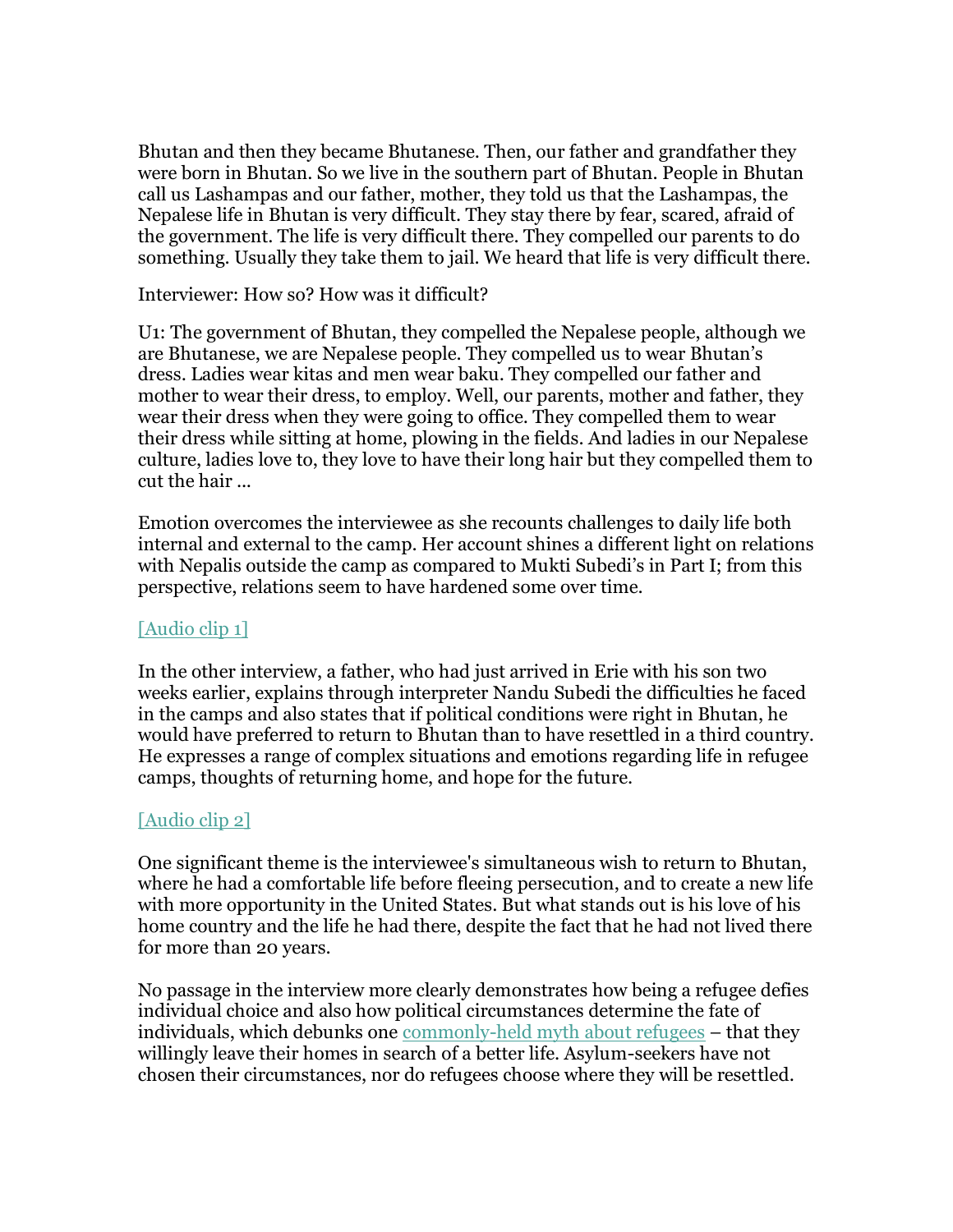Bhutan and then they became Bhutanese. Then, our father and grandfather they were born in Bhutan. So we live in the southern part of Bhutan. People in Bhutan call us Lashampas and our father, mother, they told us that the Lashampas, the Nepalese life in Bhutan is very difficult. They stay there by fear, scared, afraid of the government. The life is very difficult there. They compelled our parents to do something. Usually they take them to jail. We heard that life is very difficult there.

Interviewer: How so? How was it difficult?

U1: The government of Bhutan, they compelled the Nepalese people, although we are Bhutanese, we are Nepalese people. They compelled us to wear Bhutan's dress. Ladies wear kitas and men wear baku. They compelled our father and mother to wear their dress, to employ. Well, our parents, mother and father, they wear their dress when they were going to office. They compelled them to wear their dress while sitting at home, plowing in the fields. And ladies in our Nepalese culture, ladies love to, they love to have their long hair but they compelled them to cut the hair ...

Emotion overcomes the interviewee as she recounts challenges to daily life both internal and external to the camp. Her account shines a different light on relations with Nepalis outside the camp as compared to Mukti Subedi's in Part I; from this perspective, relations seem to have hardened some over time.

#### [\[Audio clip 1\]](https://r20.rs6.net/tn.jsp?f=001_5kvAhSppQTJX5eYPxPf61ENh0NZW14ulaT7xjO3FOwj_Ew5EHBOGCBci6K0NWdkBcBgBWsiEe5jz3E8stts76cTIeUjnbuy3QcOXz6bPmd94s3uEFMpNWi7A4ajl1nuGY90YYmexmQO8ExlLM65Gaih_5waoM8r5K_7wTWk8FX2ZZKiM2taEILC0ht6hwBJrNdUfHO_04v8dreRGFBhNfOsS_8a2lzCm5p6gmtr4zw=&c=9nbRf56lc1qB_NQJLd6GvSnfuM6XoH-tZml11wML8zJ_iGYF2kVJxw==&ch=NfpvpSK9kb7T8ffRDw7o_jSdiBC8wM8iGIPYiSoNQnqySwHcjNYfAQ==)

In the other interview, a father, who had just arrived in Erie with his son two weeks earlier, explains through interpreter Nandu Subedi the difficulties he faced in the camps and also states that if political conditions were right in Bhutan, he would have preferred to return to Bhutan than to have resettled in a third country. He expresses a range of complex situations and emotions regarding life in refugee camps, thoughts of returning home, and hope for the future.

#### [\[Audio clip 2\]](https://r20.rs6.net/tn.jsp?f=001_5kvAhSppQTJX5eYPxPf61ENh0NZW14ulaT7xjO3FOwj_Ew5EHBOGCBci6K0NWdkfY5TsQpQunH09eaMEljEzG-A7Fc-kWF8EcygBBQzEtpkYgSEn4yd6BqmlPHrU-936ISuF789h0Uu63NP_GxBYaw0qMPU9xh1B8V1fM2lsbUSHJEiekipCzVfWcnEBQ8zPsrQEEhT8cPvlmDrBzFoe82QE-gEbAAir33ZDXZ6qh4=&c=9nbRf56lc1qB_NQJLd6GvSnfuM6XoH-tZml11wML8zJ_iGYF2kVJxw==&ch=NfpvpSK9kb7T8ffRDw7o_jSdiBC8wM8iGIPYiSoNQnqySwHcjNYfAQ==)

One significant theme is the interviewee's simultaneous wish to return to Bhutan, where he had a comfortable life before fleeing persecution, and to create a new life with more opportunity in the United States. But what stands out is his love of his home country and the life he had there, despite the fact that he had not lived there for more than 20 years.

No passage in the interview more clearly demonstrates how being a refugee defies individual choice and also how political circumstances determine the fate of individuals, which debunks one [commonly-held myth about refugees](https://r20.rs6.net/tn.jsp?f=001_5kvAhSppQTJX5eYPxPf61ENh0NZW14ulaT7xjO3FOwj_Ew5EHBOGCBci6K0NWdkAoL0jvI4rcB5yXS_B8Z9q22MI_6G_S_omY8gMitdMtKX4NrmUa4KYmkNTEjO4BZbnOFq6TnNjGLXXsFSYryEZUHK1auwzJwap6_Pl0e5CXkFkg0YbexbOEeMIisKqq9LkII6Izdf56tRyR3cS9oGjkDSWteXvGWWmW-Dsio1AV8=&c=9nbRf56lc1qB_NQJLd6GvSnfuM6XoH-tZml11wML8zJ_iGYF2kVJxw==&ch=NfpvpSK9kb7T8ffRDw7o_jSdiBC8wM8iGIPYiSoNQnqySwHcjNYfAQ==) – that they willingly leave their homes in search of a better life. Asylum-seekers have not chosen their circumstances, nor do refugees choose where they will be resettled.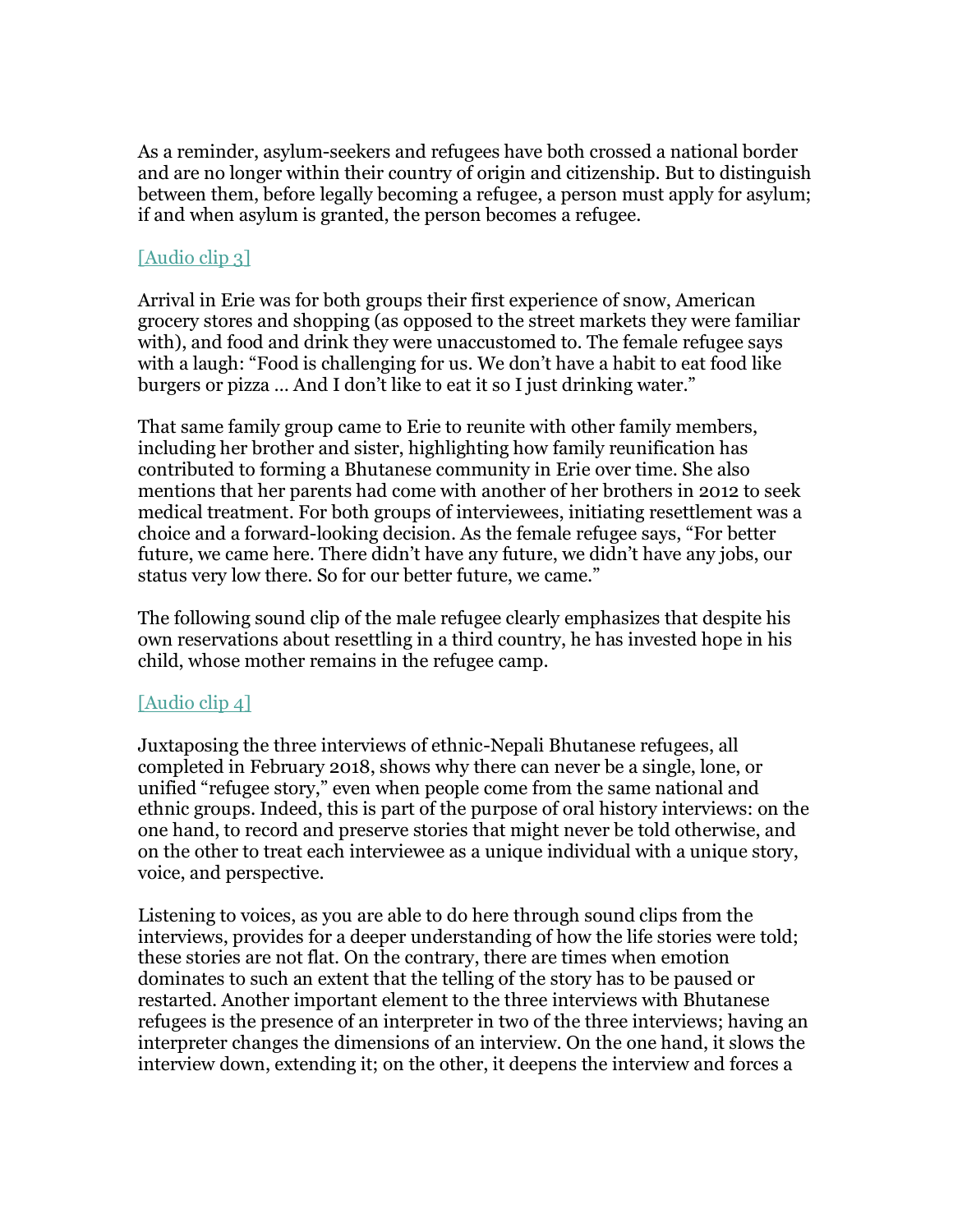As a reminder, asylum-seekers and refugees have both crossed a national border and are no longer within their country of origin and citizenship. But to distinguish between them, before legally becoming a refugee, a person must apply for asylum; if and when asylum is granted, the person becomes a refugee.

#### [\[Audio clip 3\]](https://r20.rs6.net/tn.jsp?f=001_5kvAhSppQTJX5eYPxPf61ENh0NZW14ulaT7xjO3FOwj_Ew5EHBOGCBci6K0NWdkE-cfkdI_1S8q-6SfByUsTlAaNZ6kipqtXSNjU4mfxz75AHNWtG_CHGsZf-8nHSLaPehUUaFzGM-QJEyMwwTCulHhJlO4DCmH01wK2oAu57-7LBU_R-iCJ0fnzrZk1IeuZVQrzRHHNjevTESpJCj_bnqTHTG9z0ahRPZ0ohW7D4w=&c=9nbRf56lc1qB_NQJLd6GvSnfuM6XoH-tZml11wML8zJ_iGYF2kVJxw==&ch=NfpvpSK9kb7T8ffRDw7o_jSdiBC8wM8iGIPYiSoNQnqySwHcjNYfAQ==)

Arrival in Erie was for both groups their first experience of snow, American grocery stores and shopping (as opposed to the street markets they were familiar with), and food and drink they were unaccustomed to. The female refugee says with a laugh: "Food is challenging for us. We don't have a habit to eat food like burgers or pizza … And I don't like to eat it so I just drinking water."

That same family group came to Erie to reunite with other family members, including her brother and sister, highlighting how family reunification has contributed to forming a Bhutanese community in Erie over time. She also mentions that her parents had come with another of her brothers in 2012 to seek medical treatment. For both groups of interviewees, initiating resettlement was a choice and a forward-looking decision. As the female refugee says, "For better future, we came here. There didn't have any future, we didn't have any jobs, our status very low there. So for our better future, we came."

The following sound clip of the male refugee clearly emphasizes that despite his own reservations about resettling in a third country, he has invested hope in his child, whose mother remains in the refugee camp.

#### [\[Audio clip 4\]](https://r20.rs6.net/tn.jsp?f=001_5kvAhSppQTJX5eYPxPf61ENh0NZW14ulaT7xjO3FOwj_Ew5EHBOGCBci6K0NWdkyNLLSW9D9qXXI7z2HQZbSFB6y6cD7qh4t2bPCU9nGXLVodaxRxHPJgq1xbjAHKRIXvLd7DfWK3VyzwPYs5CAFOkLjKh5fJiT8PqrGARJt2eRlEEdeD3DxOihSVUknsmaw9mCl1R8yOEyLFkffPlPH8quYlUjUapY9pwHrB9pfIQ=&c=9nbRf56lc1qB_NQJLd6GvSnfuM6XoH-tZml11wML8zJ_iGYF2kVJxw==&ch=NfpvpSK9kb7T8ffRDw7o_jSdiBC8wM8iGIPYiSoNQnqySwHcjNYfAQ==)

Juxtaposing the three interviews of ethnic-Nepali Bhutanese refugees, all completed in February 2018, shows why there can never be a single, lone, or unified "refugee story," even when people come from the same national and ethnic groups. Indeed, this is part of the purpose of oral history interviews: on the one hand, to record and preserve stories that might never be told otherwise, and on the other to treat each interviewee as a unique individual with a unique story, voice, and perspective.

Listening to voices, as you are able to do here through sound clips from the interviews, provides for a deeper understanding of how the life stories were told; these stories are not flat. On the contrary, there are times when emotion dominates to such an extent that the telling of the story has to be paused or restarted. Another important element to the three interviews with Bhutanese refugees is the presence of an interpreter in two of the three interviews; having an interpreter changes the dimensions of an interview. On the one hand, it slows the interview down, extending it; on the other, it deepens the interview and forces a